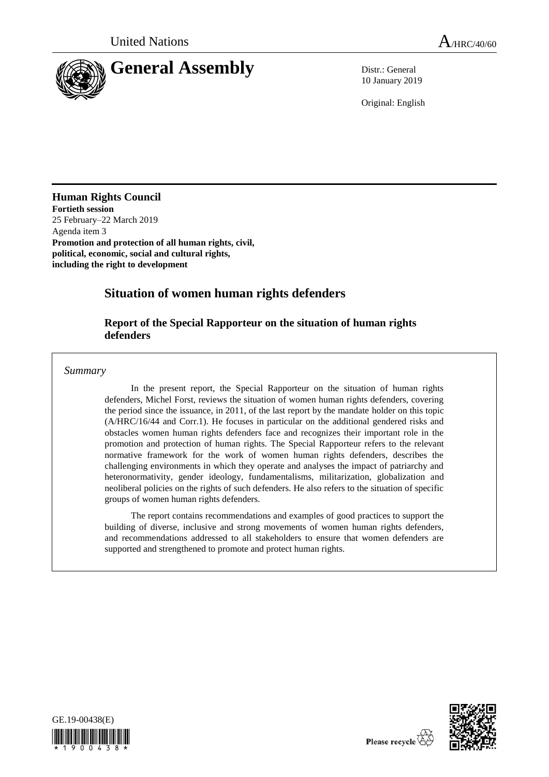

10 January 2019

Original: English

**Human Rights Council Fortieth session**

25 February–22 March 2019 Agenda item 3 **Promotion and protection of all human rights, civil, political, economic, social and cultural rights, including the right to development**

# **Situation of women human rights defenders**

# **Report of the Special Rapporteur on the situation of human rights defenders**

*Summary*

In the present report, the Special Rapporteur on the situation of human rights defenders, Michel Forst, reviews the situation of women human rights defenders, covering the period since the issuance, in 2011, of the last report by the mandate holder on this topic (A/HRC/16/44 and Corr.1). He focuses in particular on the additional gendered risks and obstacles women human rights defenders face and recognizes their important role in the promotion and protection of human rights. The Special Rapporteur refers to the relevant normative framework for the work of women human rights defenders, describes the challenging environments in which they operate and analyses the impact of patriarchy and heteronormativity, gender ideology, fundamentalisms, militarization, globalization and neoliberal policies on the rights of such defenders. He also refers to the situation of specific groups of women human rights defenders.

The report contains recommendations and examples of good practices to support the building of diverse, inclusive and strong movements of women human rights defenders, and recommendations addressed to all stakeholders to ensure that women defenders are supported and strengthened to promote and protect human rights.



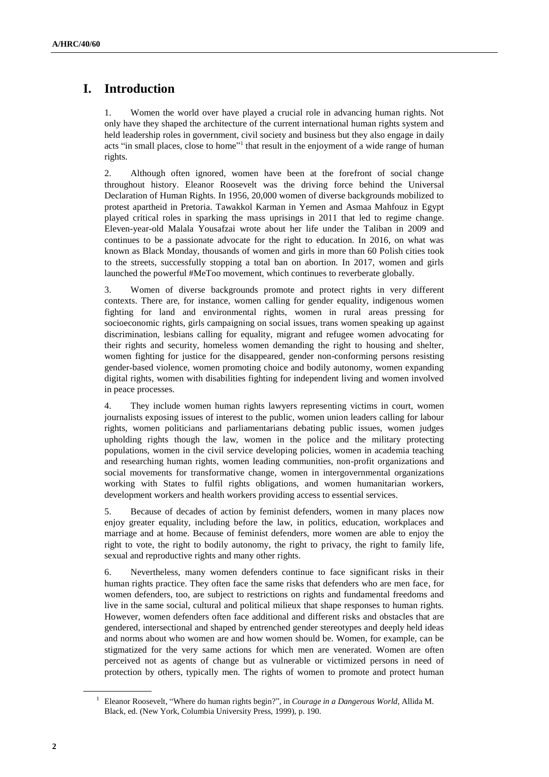# **I. Introduction**

1. Women the world over have played a crucial role in advancing human rights. Not only have they shaped the architecture of the current international human rights system and held leadership roles in government, civil society and business but they also engage in daily acts "in small places, close to home"<sup>1</sup> that result in the enjoyment of a wide range of human rights.

2. Although often ignored, women have been at the forefront of social change throughout history. Eleanor Roosevelt was the driving force behind the Universal Declaration of Human Rights. In 1956, 20,000 women of diverse backgrounds mobilized to protest apartheid in Pretoria. Tawakkol Karman in Yemen and Asmaa Mahfouz in Egypt played critical roles in sparking the mass uprisings in 2011 that led to regime change. Eleven-year-old Malala Yousafzai wrote about her life under the Taliban in 2009 and continues to be a passionate advocate for the right to education. In 2016, on what was known as Black Monday, thousands of women and girls in more than 60 Polish cities took to the streets, successfully stopping a total ban on abortion. In 2017, women and girls launched the powerful #MeToo movement, which continues to reverberate globally.

3. Women of diverse backgrounds promote and protect rights in very different contexts. There are, for instance, women calling for gender equality, indigenous women fighting for land and environmental rights, women in rural areas pressing for socioeconomic rights, girls campaigning on social issues, trans women speaking up against discrimination, lesbians calling for equality, migrant and refugee women advocating for their rights and security, homeless women demanding the right to housing and shelter, women fighting for justice for the disappeared, gender non-conforming persons resisting gender-based violence, women promoting choice and bodily autonomy, women expanding digital rights, women with disabilities fighting for independent living and women involved in peace processes.

4. They include women human rights lawyers representing victims in court, women journalists exposing issues of interest to the public, women union leaders calling for labour rights, women politicians and parliamentarians debating public issues, women judges upholding rights though the law, women in the police and the military protecting populations, women in the civil service developing policies, women in academia teaching and researching human rights, women leading communities, non-profit organizations and social movements for transformative change, women in intergovernmental organizations working with States to fulfil rights obligations, and women humanitarian workers, development workers and health workers providing access to essential services.

5. Because of decades of action by feminist defenders, women in many places now enjoy greater equality, including before the law, in politics, education, workplaces and marriage and at home. Because of feminist defenders, more women are able to enjoy the right to vote, the right to bodily autonomy, the right to privacy, the right to family life, sexual and reproductive rights and many other rights.

6. Nevertheless, many women defenders continue to face significant risks in their human rights practice. They often face the same risks that defenders who are men face, for women defenders, too, are subject to restrictions on rights and fundamental freedoms and live in the same social, cultural and political milieux that shape responses to human rights. However, women defenders often face additional and different risks and obstacles that are gendered, intersectional and shaped by entrenched gender stereotypes and deeply held ideas and norms about who women are and how women should be. Women, for example, can be stigmatized for the very same actions for which men are venerated. Women are often perceived not as agents of change but as vulnerable or victimized persons in need of protection by others, typically men. The rights of women to promote and protect human

<sup>1</sup> Eleanor Roosevelt, "Where do human rights begin?", in *Courage in a Dangerous World*, Allida M. Black, ed. (New York, Columbia University Press, 1999), p. 190.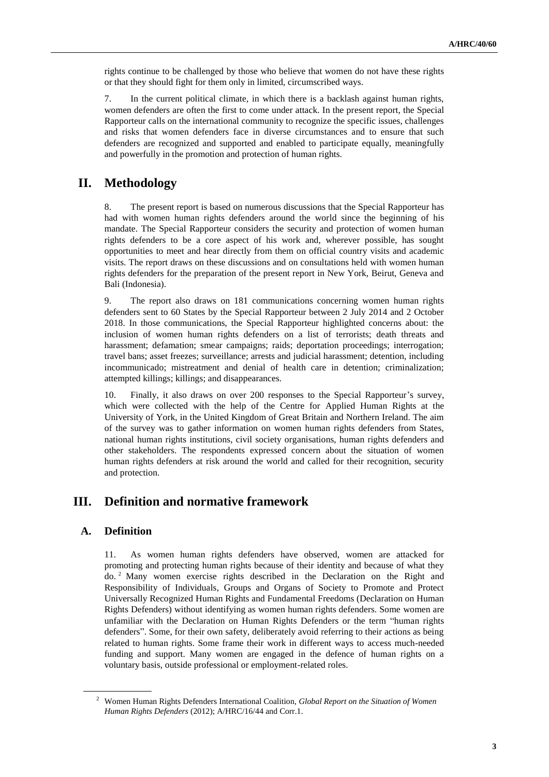rights continue to be challenged by those who believe that women do not have these rights or that they should fight for them only in limited, circumscribed ways.

7. In the current political climate, in which there is a backlash against human rights, women defenders are often the first to come under attack. In the present report, the Special Rapporteur calls on the international community to recognize the specific issues, challenges and risks that women defenders face in diverse circumstances and to ensure that such defenders are recognized and supported and enabled to participate equally, meaningfully and powerfully in the promotion and protection of human rights.

# **II. Methodology**

8. The present report is based on numerous discussions that the Special Rapporteur has had with women human rights defenders around the world since the beginning of his mandate. The Special Rapporteur considers the security and protection of women human rights defenders to be a core aspect of his work and, wherever possible, has sought opportunities to meet and hear directly from them on official country visits and academic visits. The report draws on these discussions and on consultations held with women human rights defenders for the preparation of the present report in New York, Beirut, Geneva and Bali (Indonesia).

9. The report also draws on 181 communications concerning women human rights defenders sent to 60 States by the Special Rapporteur between 2 July 2014 and 2 October 2018. In those communications, the Special Rapporteur highlighted concerns about: the inclusion of women human rights defenders on a list of terrorists; death threats and harassment; defamation; smear campaigns; raids; deportation proceedings; interrogation; travel bans; asset freezes; surveillance; arrests and judicial harassment; detention, including incommunicado; mistreatment and denial of health care in detention; criminalization; attempted killings; killings; and disappearances.

10. Finally, it also draws on over 200 responses to the Special Rapporteur's survey, which were collected with the help of the Centre for Applied Human Rights at the University of York, in the United Kingdom of Great Britain and Northern Ireland. The aim of the survey was to gather information on women human rights defenders from States, national human rights institutions, civil society organisations, human rights defenders and other stakeholders. The respondents expressed concern about the situation of women human rights defenders at risk around the world and called for their recognition, security and protection.

# **III. Definition and normative framework**

# **A. Definition**

11. As women human rights defenders have observed, women are attacked for promoting and protecting human rights because of their identity and because of what they do. <sup>2</sup> Many women exercise rights described in the Declaration on the Right and Responsibility of Individuals, Groups and Organs of Society to Promote and Protect Universally Recognized Human Rights and Fundamental Freedoms (Declaration on Human Rights Defenders) without identifying as women human rights defenders. Some women are unfamiliar with the Declaration on Human Rights Defenders or the term "human rights defenders". Some, for their own safety, deliberately avoid referring to their actions as being related to human rights. Some frame their work in different ways to access much-needed funding and support. Many women are engaged in the defence of human rights on a voluntary basis, outside professional or employment-related roles.

<sup>2</sup> Women Human Rights Defenders International Coalition, *Global Report on the Situation of Women Human Rights Defenders* (2012); A/HRC/16/44 and Corr.1.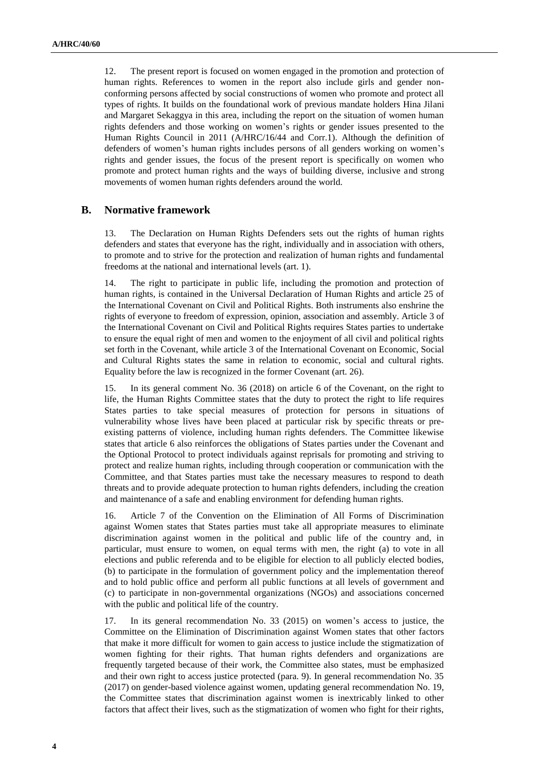12. The present report is focused on women engaged in the promotion and protection of human rights. References to women in the report also include girls and gender nonconforming persons affected by social constructions of women who promote and protect all types of rights. It builds on the foundational work of previous mandate holders Hina Jilani and Margaret Sekaggya in this area, including the report on the situation of women human rights defenders and those working on women's rights or gender issues presented to the Human Rights Council in 2011 (A/HRC/16/44 and Corr.1). Although the definition of defenders of women's human rights includes persons of all genders working on women's rights and gender issues, the focus of the present report is specifically on women who promote and protect human rights and the ways of building diverse, inclusive and strong movements of women human rights defenders around the world.

# **B. Normative framework**

13. The Declaration on Human Rights Defenders sets out the rights of human rights defenders and states that everyone has the right, individually and in association with others, to promote and to strive for the protection and realization of human rights and fundamental freedoms at the national and international levels (art. 1).

14. The right to participate in public life, including the promotion and protection of human rights, is contained in the Universal Declaration of Human Rights and article 25 of the International Covenant on Civil and Political Rights. Both instruments also enshrine the rights of everyone to freedom of expression, opinion, association and assembly. Article 3 of the International Covenant on Civil and Political Rights requires States parties to undertake to ensure the equal right of men and women to the enjoyment of all civil and political rights set forth in the Covenant, while article 3 of the International Covenant on Economic, Social and Cultural Rights states the same in relation to economic, social and cultural rights. Equality before the law is recognized in the former Covenant (art. 26).

15. In its general comment No. 36 (2018) on article 6 of the Covenant, on the right to life, the Human Rights Committee states that the duty to protect the right to life requires States parties to take special measures of protection for persons in situations of vulnerability whose lives have been placed at particular risk by specific threats or preexisting patterns of violence, including human rights defenders. The Committee likewise states that article 6 also reinforces the obligations of States parties under the Covenant and the Optional Protocol to protect individuals against reprisals for promoting and striving to protect and realize human rights, including through cooperation or communication with the Committee, and that States parties must take the necessary measures to respond to death threats and to provide adequate protection to human rights defenders, including the creation and maintenance of a safe and enabling environment for defending human rights.

16. Article 7 of the Convention on the Elimination of All Forms of Discrimination against Women states that States parties must take all appropriate measures to eliminate discrimination against women in the political and public life of the country and, in particular, must ensure to women, on equal terms with men, the right (a) to vote in all elections and public referenda and to be eligible for election to all publicly elected bodies, (b) to participate in the formulation of government policy and the implementation thereof and to hold public office and perform all public functions at all levels of government and (c) to participate in non-governmental organizations (NGOs) and associations concerned with the public and political life of the country.

17. In its general recommendation No. 33 (2015) on women's access to justice, the Committee on the Elimination of Discrimination against Women states that other factors that make it more difficult for women to gain access to justice include the stigmatization of women fighting for their rights. That human rights defenders and organizations are frequently targeted because of their work, the Committee also states, must be emphasized and their own right to access justice protected (para. 9). In general recommendation No. 35 (2017) on gender-based violence against women, updating general recommendation No. 19, the Committee states that discrimination against women is inextricably linked to other factors that affect their lives, such as the stigmatization of women who fight for their rights,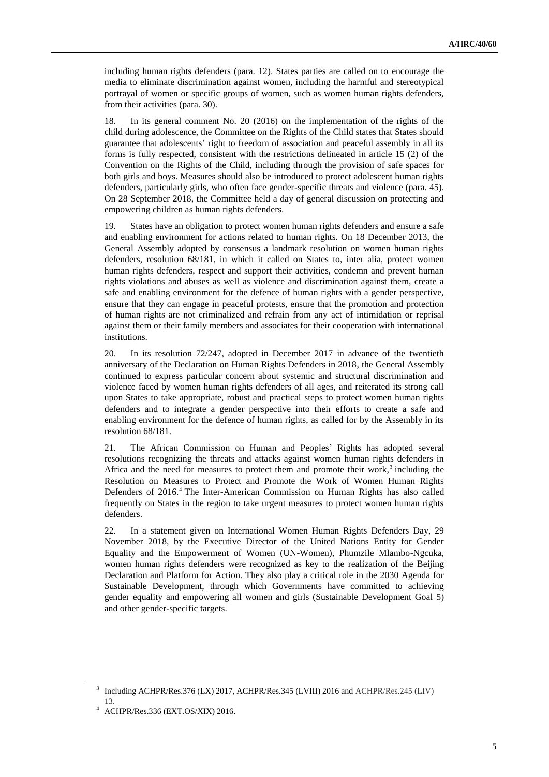including human rights defenders (para. 12). States parties are called on to encourage the media to eliminate discrimination against women, including the harmful and stereotypical portrayal of women or specific groups of women, such as women human rights defenders, from their activities (para. 30).

18. In its general comment No. 20 (2016) on the implementation of the rights of the child during adolescence, the Committee on the Rights of the Child states that States should guarantee that adolescents' right to freedom of association and peaceful assembly in all its forms is fully respected, consistent with the restrictions delineated in article 15 (2) of the Convention on the Rights of the Child, including through the provision of safe spaces for both girls and boys. Measures should also be introduced to protect adolescent human rights defenders, particularly girls, who often face gender-specific threats and violence (para. 45). On 28 September 2018, the Committee held a day of general discussion on protecting and empowering children as human rights defenders.

19. States have an obligation to protect women human rights defenders and ensure a safe and enabling environment for actions related to human rights. On 18 December 2013, the General Assembly adopted by consensus a landmark resolution on women human rights defenders, resolution 68/181, in which it called on States to, inter alia, protect women human rights defenders, respect and support their activities, condemn and prevent human rights violations and abuses as well as violence and discrimination against them, create a safe and enabling environment for the defence of human rights with a gender perspective, ensure that they can engage in peaceful protests, ensure that the promotion and protection of human rights are not criminalized and refrain from any act of intimidation or reprisal against them or their family members and associates for their cooperation with international institutions.

20. In its resolution 72/247, adopted in December 2017 in advance of the twentieth anniversary of the Declaration on Human Rights Defenders in 2018, the General Assembly continued to express particular concern about systemic and structural discrimination and violence faced by women human rights defenders of all ages, and reiterated its strong call upon States to take appropriate, robust and practical steps to protect women human rights defenders and to integrate a gender perspective into their efforts to create a safe and enabling environment for the defence of human rights, as called for by the Assembly in its resolution 68/181.

21. The African Commission on Human and Peoples' Rights has adopted several resolutions recognizing the threats and attacks against women human rights defenders in Africa and the need for measures to protect them and promote their work, $3$  including the Resolution on Measures to Protect and Promote the Work of Women Human Rights Defenders of 2016.<sup>4</sup> The Inter-American Commission on Human Rights has also called frequently on States in the region to take urgent measures to protect women human rights defenders.

22. In a statement given on International Women Human Rights Defenders Day, 29 November 2018, by the Executive Director of the United Nations Entity for Gender Equality and the Empowerment of Women (UN-Women), Phumzile Mlambo-Ngcuka, women human rights defenders were recognized as key to the realization of the Beijing Declaration and Platform for Action. They also play a critical role in the 2030 Agenda for Sustainable Development, through which Governments have committed to achieving gender equality and empowering all women and girls (Sustainable Development Goal 5) and other gender-specific targets.

<sup>&</sup>lt;sup>3</sup> Including ACHPR/Res.376 (LX) 2017, ACHPR/Res.345 (LVIII) 2016 and ACHPR/Res.245 (LIV) 13.

<sup>4</sup> ACHPR/Res.336 (EXT.OS/XIX) 2016.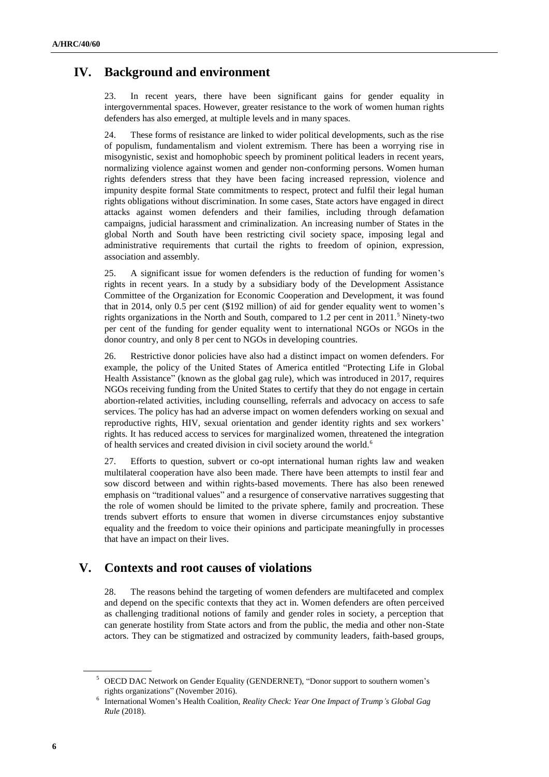# **IV. Background and environment**

23. In recent years, there have been significant gains for gender equality in intergovernmental spaces. However, greater resistance to the work of women human rights defenders has also emerged, at multiple levels and in many spaces.

24. These forms of resistance are linked to wider political developments, such as the rise of populism, fundamentalism and violent extremism. There has been a worrying rise in misogynistic, sexist and homophobic speech by prominent political leaders in recent years, normalizing violence against women and gender non-conforming persons. Women human rights defenders stress that they have been facing increased repression, violence and impunity despite formal State commitments to respect, protect and fulfil their legal human rights obligations without discrimination. In some cases, State actors have engaged in direct attacks against women defenders and their families, including through defamation campaigns, judicial harassment and criminalization. An increasing number of States in the global North and South have been restricting civil society space, imposing legal and administrative requirements that curtail the rights to freedom of opinion, expression, association and assembly.

25. A significant issue for women defenders is the reduction of funding for women's rights in recent years. In a study by a subsidiary body of the Development Assistance Committee of the Organization for Economic Cooperation and Development, it was found that in 2014, only 0.5 per cent (\$192 million) of aid for gender equality went to women's rights organizations in the North and South, compared to  $1.2$  per cent in  $2011$ .<sup>5</sup> Ninety-two per cent of the funding for gender equality went to international NGOs or NGOs in the donor country, and only 8 per cent to NGOs in developing countries.

26. Restrictive donor policies have also had a distinct impact on women defenders. For example, the policy of the United States of America entitled "Protecting Life in Global Health Assistance" (known as the global gag rule), which was introduced in 2017, requires NGOs receiving funding from the United States to certify that they do not engage in certain abortion-related activities, including counselling, referrals and advocacy on access to safe services. The policy has had an adverse impact on women defenders working on sexual and reproductive rights, HIV, sexual orientation and gender identity rights and sex workers' rights. It has reduced access to services for marginalized women, threatened the integration of health services and created division in civil society around the world.<sup>6</sup>

27. Efforts to question, subvert or co-opt international human rights law and weaken multilateral cooperation have also been made. There have been attempts to instil fear and sow discord between and within rights-based movements. There has also been renewed emphasis on "traditional values" and a resurgence of conservative narratives suggesting that the role of women should be limited to the private sphere, family and procreation. These trends subvert efforts to ensure that women in diverse circumstances enjoy substantive equality and the freedom to voice their opinions and participate meaningfully in processes that have an impact on their lives.

# **V. Contexts and root causes of violations**

28. The reasons behind the targeting of women defenders are multifaceted and complex and depend on the specific contexts that they act in. Women defenders are often perceived as challenging traditional notions of family and gender roles in society, a perception that can generate hostility from State actors and from the public, the media and other non-State actors. They can be stigmatized and ostracized by community leaders, faith-based groups,

<sup>5</sup> OECD DAC Network on Gender Equality (GENDERNET), "Donor support to southern women's rights organizations" (November 2016).

<sup>6</sup> International Women's Health Coalition, *Reality Check: Year One Impact of Trump's Global Gag Rule* (2018).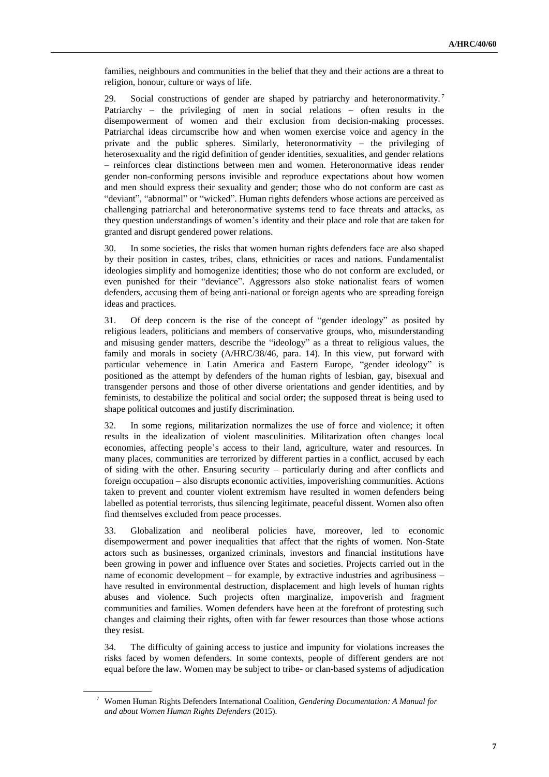families, neighbours and communities in the belief that they and their actions are a threat to religion, honour, culture or ways of life.

29. Social constructions of gender are shaped by patriarchy and heteronormativity.<sup>7</sup> Patriarchy – the privileging of men in social relations – often results in the disempowerment of women and their exclusion from decision-making processes. Patriarchal ideas circumscribe how and when women exercise voice and agency in the private and the public spheres. Similarly, heteronormativity – the privileging of heterosexuality and the rigid definition of gender identities, sexualities, and gender relations – reinforces clear distinctions between men and women. Heteronormative ideas render gender non-conforming persons invisible and reproduce expectations about how women and men should express their sexuality and gender; those who do not conform are cast as "deviant", "abnormal" or "wicked". Human rights defenders whose actions are perceived as challenging patriarchal and heteronormative systems tend to face threats and attacks, as they question understandings of women's identity and their place and role that are taken for granted and disrupt gendered power relations.

30. In some societies, the risks that women human rights defenders face are also shaped by their position in castes, tribes, clans, ethnicities or races and nations. Fundamentalist ideologies simplify and homogenize identities; those who do not conform are excluded, or even punished for their "deviance". Aggressors also stoke nationalist fears of women defenders, accusing them of being anti-national or foreign agents who are spreading foreign ideas and practices.

31. Of deep concern is the rise of the concept of "gender ideology" as posited by religious leaders, politicians and members of conservative groups, who, misunderstanding and misusing gender matters, describe the "ideology" as a threat to religious values, the family and morals in society (A/HRC/38/46, para. 14). In this view, put forward with particular vehemence in Latin America and Eastern Europe, "gender ideology" is positioned as the attempt by defenders of the human rights of lesbian, gay, bisexual and transgender persons and those of other diverse orientations and gender identities, and by feminists, to destabilize the political and social order; the supposed threat is being used to shape political outcomes and justify discrimination.

32. In some regions, militarization normalizes the use of force and violence; it often results in the idealization of violent masculinities. Militarization often changes local economies, affecting people's access to their land, agriculture, water and resources. In many places, communities are terrorized by different parties in a conflict, accused by each of siding with the other. Ensuring security – particularly during and after conflicts and foreign occupation – also disrupts economic activities, impoverishing communities. Actions taken to prevent and counter violent extremism have resulted in women defenders being labelled as potential terrorists, thus silencing legitimate, peaceful dissent. Women also often find themselves excluded from peace processes.

33. Globalization and neoliberal policies have, moreover, led to economic disempowerment and power inequalities that affect that the rights of women. Non-State actors such as businesses, organized criminals, investors and financial institutions have been growing in power and influence over States and societies. Projects carried out in the name of economic development – for example, by extractive industries and agribusiness – have resulted in environmental destruction, displacement and high levels of human rights abuses and violence. Such projects often marginalize, impoverish and fragment communities and families. Women defenders have been at the forefront of protesting such changes and claiming their rights, often with far fewer resources than those whose actions they resist.

34. The difficulty of gaining access to justice and impunity for violations increases the risks faced by women defenders. In some contexts, people of different genders are not equal before the law. Women may be subject to tribe- or clan-based systems of adjudication

<sup>7</sup> Women Human Rights Defenders International Coalition, *Gendering Documentation: A Manual for and about Women Human Rights Defenders* (2015).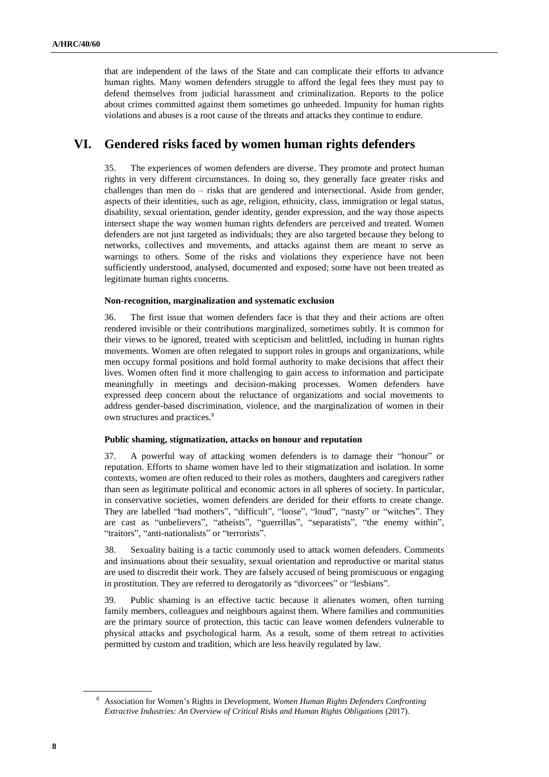that are independent of the laws of the State and can complicate their efforts to advance human rights. Many women defenders struggle to afford the legal fees they must pay to defend themselves from judicial harassment and criminalization. Reports to the police about crimes committed against them sometimes go unheeded. Impunity for human rights violations and abuses is a root cause of the threats and attacks they continue to endure.

# **VI. Gendered risks faced by women human rights defenders**

35. The experiences of women defenders are diverse. They promote and protect human rights in very different circumstances. In doing so, they generally face greater risks and challenges than men do – risks that are gendered and intersectional. Aside from gender, aspects of their identities, such as age, religion, ethnicity, class, immigration or legal status, disability, sexual orientation, gender identity, gender expression, and the way those aspects intersect shape the way women human rights defenders are perceived and treated. Women defenders are not just targeted as individuals; they are also targeted because they belong to networks, collectives and movements, and attacks against them are meant to serve as warnings to others. Some of the risks and violations they experience have not been sufficiently understood, analysed, documented and exposed; some have not been treated as legitimate human rights concerns.

#### **Non-recognition, marginalization and systematic exclusion**

36. The first issue that women defenders face is that they and their actions are often rendered invisible or their contributions marginalized, sometimes subtly. It is common for their views to be ignored, treated with scepticism and belittled, including in human rights movements. Women are often relegated to support roles in groups and organizations, while men occupy formal positions and hold formal authority to make decisions that affect their lives. Women often find it more challenging to gain access to information and participate meaningfully in meetings and decision-making processes. Women defenders have expressed deep concern about the reluctance of organizations and social movements to address gender-based discrimination, violence, and the marginalization of women in their own structures and practices.<sup>8</sup>

## **Public shaming, stigmatization, attacks on honour and reputation**

37. A powerful way of attacking women defenders is to damage their "honour" or reputation. Efforts to shame women have led to their stigmatization and isolation. In some contexts, women are often reduced to their roles as mothers, daughters and caregivers rather than seen as legitimate political and economic actors in all spheres of society. In particular, in conservative societies, women defenders are derided for their efforts to create change. They are labelled "bad mothers", "difficult", "loose", "loud", "nasty" or "witches". They are cast as "unbelievers", "atheists", "guerrillas", "separatists", "the enemy within", "traitors", "anti-nationalists" or "terrorists".

38. Sexuality baiting is a tactic commonly used to attack women defenders. Comments and insinuations about their sexuality, sexual orientation and reproductive or marital status are used to discredit their work. They are falsely accused of being promiscuous or engaging in prostitution. They are referred to derogatorily as "divorcees" or "lesbians".

39. Public shaming is an effective tactic because it alienates women, often turning family members, colleagues and neighbours against them. Where families and communities are the primary source of protection, this tactic can leave women defenders vulnerable to physical attacks and psychological harm. As a result, some of them retreat to activities permitted by custom and tradition, which are less heavily regulated by law.

<sup>8</sup> Association for Women's Rights in Development, *Women Human Rights Defenders Confronting Extractive Industries: An Overview of Critical Risks and Human Rights Obligations* (2017).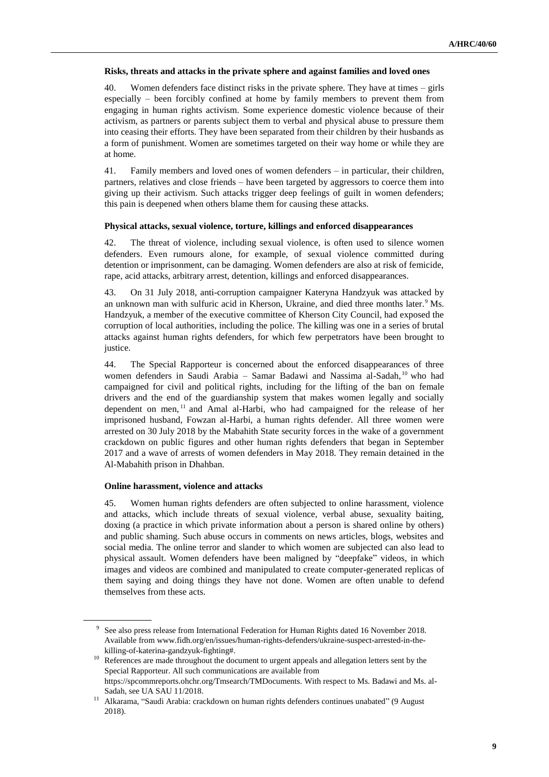#### **Risks, threats and attacks in the private sphere and against families and loved ones**

40. Women defenders face distinct risks in the private sphere. They have at times – girls especially – been forcibly confined at home by family members to prevent them from engaging in human rights activism. Some experience domestic violence because of their activism, as partners or parents subject them to verbal and physical abuse to pressure them into ceasing their efforts. They have been separated from their children by their husbands as a form of punishment. Women are sometimes targeted on their way home or while they are at home.

41. Family members and loved ones of women defenders – in particular, their children, partners, relatives and close friends – have been targeted by aggressors to coerce them into giving up their activism. Such attacks trigger deep feelings of guilt in women defenders; this pain is deepened when others blame them for causing these attacks.

## **Physical attacks, sexual violence, torture, killings and enforced disappearances**

42. The threat of violence, including sexual violence, is often used to silence women defenders. Even rumours alone, for example, of sexual violence committed during detention or imprisonment, can be damaging. Women defenders are also at risk of femicide, rape, acid attacks, arbitrary arrest, detention, killings and enforced disappearances.

43. On 31 July 2018, anti-corruption campaigner Kateryna Handzyuk was attacked by an unknown man with sulfuric acid in Kherson, Ukraine, and died three months later.<sup>9</sup> Ms. Handzyuk, a member of the executive committee of Kherson City Council, had exposed the corruption of local authorities, including the police. The killing was one in a series of brutal attacks against human rights defenders, for which few perpetrators have been brought to justice.

44. The Special Rapporteur is concerned about the enforced disappearances of three women defenders in Saudi Arabia – Samar Badawi and Nassima al-Sadah, <sup>10</sup> who had campaigned for civil and political rights, including for the lifting of the ban on female drivers and the end of the guardianship system that makes women legally and socially dependent on men, <sup>11</sup> and Amal al-Harbi, who had campaigned for the release of her imprisoned husband, Fowzan al-Harbi, a human rights defender. All three women were arrested on 30 July 2018 by the Mabahith State security forces in the wake of a government crackdown on public figures and other human rights defenders that began in September 2017 and a wave of arrests of women defenders in May 2018. They remain detained in the Al-Mabahith prison in Dhahban.

# **Online harassment, violence and attacks**

45. Women human rights defenders are often subjected to online harassment, violence and attacks, which include threats of sexual violence, verbal abuse, sexuality baiting, doxing (a practice in which private information about a person is shared online by others) and public shaming. Such abuse occurs in comments on news articles, blogs, websites and social media. The online terror and slander to which women are subjected can also lead to physical assault. Women defenders have been maligned by "deepfake" videos, in which images and videos are combined and manipulated to create computer-generated replicas of them saying and doing things they have not done. Women are often unable to defend themselves from these acts.

<sup>&</sup>lt;sup>9</sup> See also press release from International Federation for Human Rights dated 16 November 2018. Available from www.fidh.org/en/issues/human-rights-defenders/ukraine-suspect-arrested-in-thekilling-of-katerina-gandzyuk-fighting#.

<sup>&</sup>lt;sup>10</sup> References are made throughout the document to urgent appeals and allegation letters sent by the Special Rapporteur. All such communications are available from https://spcommreports.ohchr.org/Tmsearch/TMDocuments. With respect to Ms. Badawi and Ms. al-Sadah, see [UA SAU 11/2018.](https://spcommreports.ohchr.org/TMResultsBase/DownLoadPublicCommunicationFile?gId=24127)

<sup>&</sup>lt;sup>11</sup> Alkarama, "Saudi Arabia: crackdown on human rights defenders continues unabated" (9 August 2018).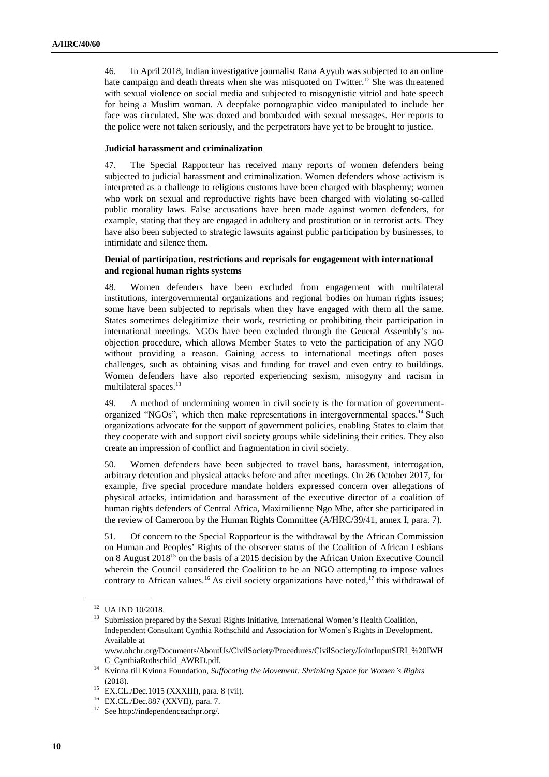46. In April 2018, Indian investigative journalist Rana Ayyub was subjected to an online hate campaign and death threats when she was misquoted on Twitter.<sup>12</sup> She was threatened with sexual violence on social media and subjected to misogynistic vitriol and hate speech for being a Muslim woman. A deepfake pornographic video manipulated to include her face was circulated. She was doxed and bombarded with sexual messages. Her reports to the police were not taken seriously, and the perpetrators have yet to be brought to justice.

### **Judicial harassment and criminalization**

47. The Special Rapporteur has received many reports of women defenders being subjected to judicial harassment and criminalization. Women defenders whose activism is interpreted as a challenge to religious customs have been charged with blasphemy; women who work on sexual and reproductive rights have been charged with violating so-called public morality laws. False accusations have been made against women defenders, for example, stating that they are engaged in adultery and prostitution or in terrorist acts. They have also been subjected to strategic lawsuits against public participation by businesses, to intimidate and silence them.

## **Denial of participation, restrictions and reprisals for engagement with international and regional human rights systems**

48. Women defenders have been excluded from engagement with multilateral institutions, intergovernmental organizations and regional bodies on human rights issues; some have been subjected to reprisals when they have engaged with them all the same. States sometimes delegitimize their work, restricting or prohibiting their participation in international meetings. NGOs have been excluded through the General Assembly's noobjection procedure, which allows Member States to veto the participation of any NGO without providing a reason. Gaining access to international meetings often poses challenges, such as obtaining visas and funding for travel and even entry to buildings. Women defenders have also reported experiencing sexism, misogyny and racism in multilateral spaces.<sup>13</sup>

49. A method of undermining women in civil society is the formation of governmentorganized "NGOs", which then make representations in intergovernmental spaces.<sup>14</sup> Such organizations advocate for the support of government policies, enabling States to claim that they cooperate with and support civil society groups while sidelining their critics. They also create an impression of conflict and fragmentation in civil society.

50. Women defenders have been subjected to travel bans, harassment, interrogation, arbitrary detention and physical attacks before and after meetings. On 26 October 2017, for example, five special procedure mandate holders expressed concern over allegations of physical attacks, intimidation and harassment of the executive director of a coalition of human rights defenders of Central Africa, Maximilienne Ngo Mbe, after she participated in the review of Cameroon by the Human Rights Committee (A/HRC/39/41, annex I, para. 7).

51. Of concern to the Special Rapporteur is the withdrawal by the African Commission on Human and Peoples' Rights of the observer status of the Coalition of African Lesbians on 8 August 2018<sup>15</sup> on the basis of a 2015 decision by the African Union Executive Council wherein the Council considered the Coalition to be an NGO attempting to impose values contrary to African values.<sup>16</sup> As civil society organizations have noted,<sup>17</sup> this withdrawal of

<sup>&</sup>lt;sup>12</sup> [UA IND 10/2018.](https://spcommreports.ohchr.org/TMResultsBase/DownLoadPublicCommunicationFile?gId=23845)

<sup>&</sup>lt;sup>13</sup> Submission prepared by the Sexual Rights Initiative, International Women's Health Coalition, Independent Consultant Cynthia Rothschild and Association for Women's Rights in Development. Available a[t](https://www.ohchr.org/Documents/AboutUs/CivilSociety/Procedures/CivilSociety/JointInputSIRI_%20IWHC_CynthiaRothschild_AWRD.pdf)

[www.ohchr.org/Documents/AboutUs/CivilSociety/Procedures/CivilSociety/JointInputSIRI\\_%20IWH](https://www.ohchr.org/Documents/AboutUs/CivilSociety/Procedures/CivilSociety/JointInputSIRI_%20IWHC_CynthiaRothschild_AWRD.pdf) [C\\_CynthiaRothschild\\_AWRD.pdf.](https://www.ohchr.org/Documents/AboutUs/CivilSociety/Procedures/CivilSociety/JointInputSIRI_%20IWHC_CynthiaRothschild_AWRD.pdf)

<sup>14</sup> Kvinna till Kvinna Foundation, *Suffocating the Movement: Shrinking Space for Women's Rights* (2018).

<sup>15</sup> EX.CL./Dec.1015 (XXXIII), para. 8 (vii).

<sup>16</sup> EX.CL./Dec.887 (XXVII), para. 7.

<sup>17</sup> Se[e http://independenceachpr.org/.](http://independenceachpr.org/)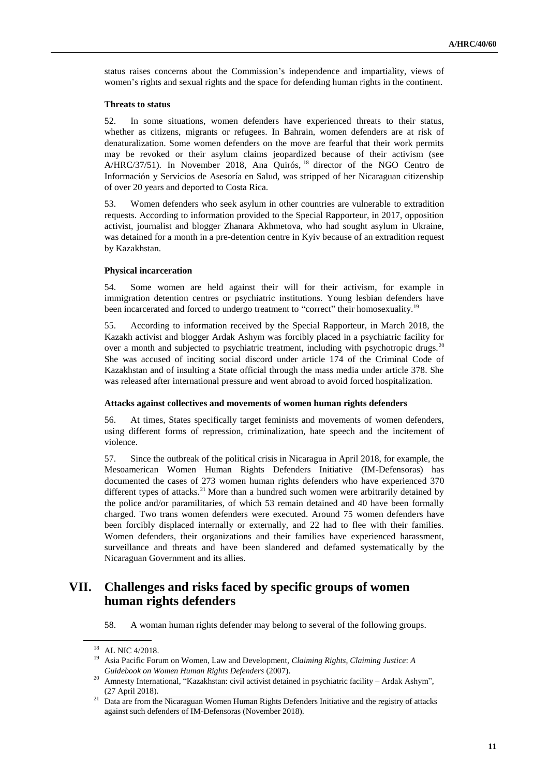status raises concerns about the Commission's independence and impartiality, views of women's rights and sexual rights and the space for defending human rights in the continent.

#### **Threats to status**

52. In some situations, women defenders have experienced threats to their status, whether as citizens, migrants or refugees. In Bahrain, women defenders are at risk of denaturalization. Some women defenders on the move are fearful that their work permits may be revoked or their asylum claims jeopardized because of their activism (see A/HRC/37/51). In November 2018, Ana Quirós, <sup>18</sup> director of the NGO Centro de Información y Servicios de Asesoría en Salud, was stripped of her Nicaraguan citizenship of over 20 years and deported to Costa Rica.

53. Women defenders who seek asylum in other countries are vulnerable to extradition requests. According to information provided to the Special Rapporteur, in 2017, opposition activist, journalist and blogger Zhanara Akhmetova, who had sought asylum in Ukraine, was detained for a month in a pre-detention centre in Kyiv because of an extradition request by Kazakhstan.

## **Physical incarceration**

54. Some women are held against their will for their activism, for example in immigration detention centres or psychiatric institutions. Young lesbian defenders have been incarcerated and forced to undergo treatment to "correct" their homosexuality.<sup>19</sup>

55. According to information received by the Special Rapporteur, in March 2018, the Kazakh activist and blogger Ardak Ashym was forcibly placed in a psychiatric facility for over a month and subjected to psychiatric treatment, including with psychotropic drugs.<sup>20</sup> She was accused of inciting social discord under article 174 of the Criminal Code of Kazakhstan and of insulting a State official through the mass media under article 378. She was released after international pressure and went abroad to avoid forced hospitalization.

#### **Attacks against collectives and movements of women human rights defenders**

56. At times, States specifically target feminists and movements of women defenders, using different forms of repression, criminalization, hate speech and the incitement of violence.

57. Since the outbreak of the political crisis in Nicaragua in April 2018, for example, the Mesoamerican Women Human Rights Defenders Initiative (IM-Defensoras) has documented the cases of 273 women human rights defenders who have experienced 370 different types of attacks.<sup>21</sup> More than a hundred such women were arbitrarily detained by the police and/or paramilitaries, of which 53 remain detained and 40 have been formally charged. Two trans women defenders were executed. Around 75 women defenders have been forcibly displaced internally or externally, and 22 had to flee with their families. Women defenders, their organizations and their families have experienced harassment, surveillance and threats and have been slandered and defamed systematically by the Nicaraguan Government and its allies.

# **VII. Challenges and risks faced by specific groups of women human rights defenders**

58. A woman human rights defender may belong to several of the following groups.

<sup>18</sup> A[L NIC 4/2018.](https://spcommreports.ohchr.org/TMResultsBase/DownLoadPublicCommunicationFile?gId=24145)

<sup>19</sup> Asia Pacific Forum on Women, Law and Development, *Claiming Rights, Claiming Justice*: *A Guidebook on Women Human Rights Defenders* (2007).

<sup>20</sup> Amnesty International, "Kazakhstan: civil activist detained in psychiatric facility – Ardak Ashym", (27 April 2018).

<sup>&</sup>lt;sup>21</sup> Data are from the Nicaraguan Women Human Rights Defenders Initiative and the registry of attacks against such defenders of IM-Defensoras (November 2018).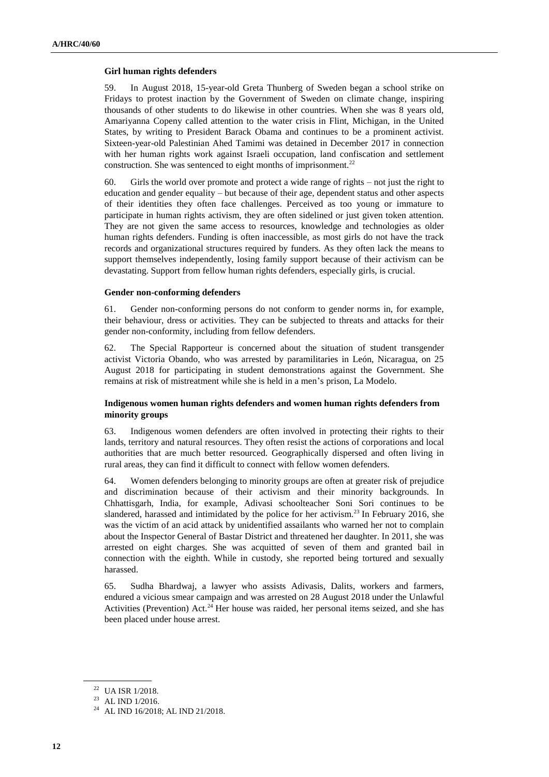### **Girl human rights defenders**

59. In August 2018, 15-year-old Greta Thunberg of Sweden began a school strike on Fridays to protest inaction by the Government of Sweden on climate change, inspiring thousands of other students to do likewise in other countries. When she was 8 years old, Amariyanna Copeny called attention to the water crisis in Flint, Michigan, in the United States, by writing to President Barack Obama and continues to be a prominent activist. Sixteen-year-old Palestinian Ahed Tamimi was detained in December 2017 in connection with her human rights work against Israeli occupation, land confiscation and settlement construction. She was sentenced to eight months of imprisonment. $^{22}$ 

60. Girls the world over promote and protect a wide range of rights – not just the right to education and gender equality – but because of their age, dependent status and other aspects of their identities they often face challenges. Perceived as too young or immature to participate in human rights activism, they are often sidelined or just given token attention. They are not given the same access to resources, knowledge and technologies as older human rights defenders. Funding is often inaccessible, as most girls do not have the track records and organizational structures required by funders. As they often lack the means to support themselves independently, losing family support because of their activism can be devastating. Support from fellow human rights defenders, especially girls, is crucial.

#### **Gender non-conforming defenders**

61. Gender non-conforming persons do not conform to gender norms in, for example, their behaviour, dress or activities. They can be subjected to threats and attacks for their gender non-conformity, including from fellow defenders.

62. The Special Rapporteur is concerned about the situation of student transgender activist Victoria Obando, who was arrested by paramilitaries in León, Nicaragua, on 25 August 2018 for participating in student demonstrations against the Government. She remains at risk of mistreatment while she is held in a men's prison, La Modelo.

## **Indigenous women human rights defenders and women human rights defenders from minority groups**

63. Indigenous women defenders are often involved in protecting their rights to their lands, territory and natural resources. They often resist the actions of corporations and local authorities that are much better resourced. Geographically dispersed and often living in rural areas, they can find it difficult to connect with fellow women defenders.

64. Women defenders belonging to minority groups are often at greater risk of prejudice and discrimination because of their activism and their minority backgrounds. In Chhattisgarh, India, for example, Adivasi schoolteacher Soni Sori continues to be slandered, harassed and intimidated by the police for her activism.<sup>23</sup> In February 2016, she was the victim of an acid attack by unidentified assailants who warned her not to complain about the Inspector General of Bastar District and threatened her daughter. In 2011, she was arrested on eight charges. She was acquitted of seven of them and granted bail in connection with the eighth. While in custody, she reported being tortured and sexually harassed.

65. Sudha Bhardwaj, a lawyer who assists Adivasis, Dalits, workers and farmers, endured a vicious smear campaign and was arrested on 28 August 2018 under the Unlawful Activities (Prevention) Act.<sup>24</sup> Her house was raided, her personal items seized, and she has been placed under house arrest.

<sup>22</sup> [UA ISR 1/2018.](https://spcommreports.ohchr.org/TMResultsBase/DownLoadPublicCommunicationFile?gId=23565)

 $^{23}\,$  [AL IND 1/2016.](https://spcommreports.ohchr.org/TMResultsBase/DownLoadPublicCommunicationFile?gId=19580)

<sup>24</sup> [AL IND 16/2018;](https://spcommreports.ohchr.org/TMResultsBase/DownLoadPublicCommunicationFile?gId=23962) [AL IND 21/2018.](https://spcommreports.ohchr.org/TMResultsBase/DownLoadPublicCommunicationFile?gId=24096)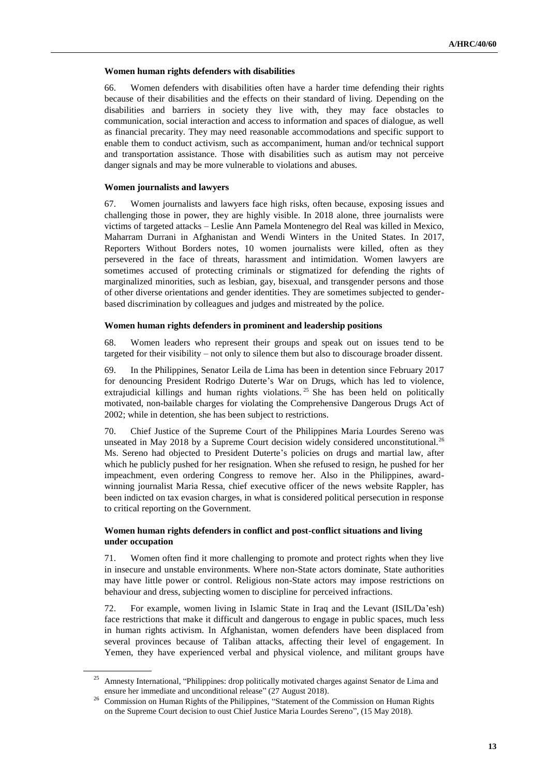#### **Women human rights defenders with disabilities**

66. Women defenders with disabilities often have a harder time defending their rights because of their disabilities and the effects on their standard of living. Depending on the disabilities and barriers in society they live with, they may face obstacles to communication, social interaction and access to information and spaces of dialogue, as well as financial precarity. They may need reasonable accommodations and specific support to enable them to conduct activism, such as accompaniment, human and/or technical support and transportation assistance. Those with disabilities such as autism may not perceive danger signals and may be more vulnerable to violations and abuses.

# **Women journalists and lawyers**

67. Women journalists and lawyers face high risks, often because, exposing issues and challenging those in power, they are highly visible. In 2018 alone, three journalists were victims of targeted attacks – Leslie Ann Pamela Montenegro del Real was killed in Mexico, Maharram Durrani in Afghanistan and Wendi Winters in the United States. In 2017, Reporters Without Borders notes, 10 women journalists were killed, often as they persevered in the face of threats, harassment and intimidation. Women lawyers are sometimes accused of protecting criminals or stigmatized for defending the rights of marginalized minorities, such as lesbian, gay, bisexual, and transgender persons and those of other diverse orientations and gender identities. They are sometimes subjected to genderbased discrimination by colleagues and judges and mistreated by the police.

## **Women human rights defenders in prominent and leadership positions**

68. Women leaders who represent their groups and speak out on issues tend to be targeted for their visibility – not only to silence them but also to discourage broader dissent.

69. In the Philippines, Senator Leila de Lima has been in detention since February 2017 for denouncing President Rodrigo Duterte's War on Drugs, which has led to violence, extrajudicial killings and human rights violations.<sup>25</sup> She has been held on politically motivated, non-bailable charges for violating the Comprehensive Dangerous Drugs Act of 2002; while in detention, she has been subject to restrictions.

70. Chief Justice of the Supreme Court of the Philippines Maria Lourdes Sereno was unseated in May 2018 by a Supreme Court decision widely considered unconstitutional.<sup>26</sup> Ms. Sereno had objected to President Duterte's policies on drugs and martial law, after which he publicly pushed for her resignation. When she refused to resign, he pushed for her impeachment, even ordering Congress to remove her. Also in the Philippines, awardwinning journalist Maria Ressa, chief executive officer of the news website Rappler, has been indicted on tax evasion charges, in what is considered political persecution in response to critical reporting on the Government.

# **Women human rights defenders in conflict and post-conflict situations and living under occupation**

71. Women often find it more challenging to promote and protect rights when they live in insecure and unstable environments. Where non-State actors dominate, State authorities may have little power or control. Religious non-State actors may impose restrictions on behaviour and dress, subjecting women to discipline for perceived infractions.

72. For example, women living in Islamic State in Iraq and the Levant (ISIL/Da'esh) face restrictions that make it difficult and dangerous to engage in public spaces, much less in human rights activism. In Afghanistan, women defenders have been displaced from several provinces because of Taliban attacks, affecting their level of engagement. In Yemen, they have experienced verbal and physical violence, and militant groups have

<sup>&</sup>lt;sup>25</sup> Amnesty International, "Philippines: drop politically motivated charges against Senator de Lima and ensure her immediate and unconditional release" (27 August 2018).

<sup>&</sup>lt;sup>26</sup> Commission on Human Rights of the Philippines, "Statement of the Commission on Human Rights on the Supreme Court decision to oust Chief Justice Maria Lourdes Sereno", (15 May 2018).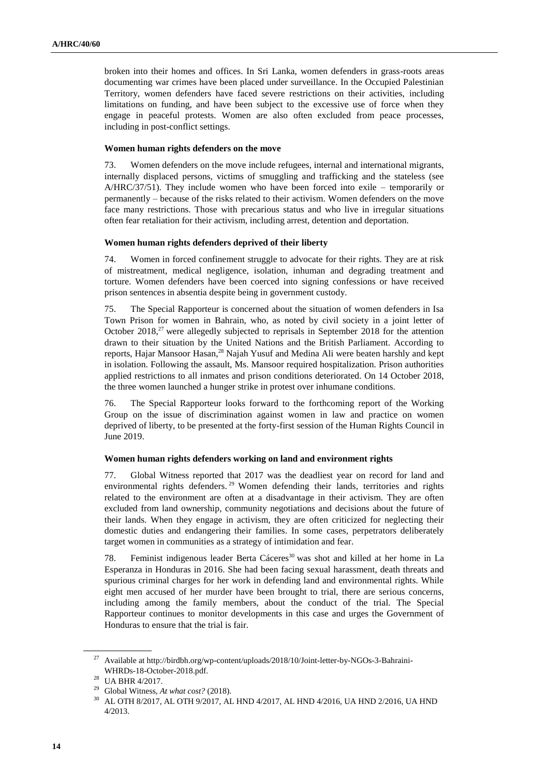broken into their homes and offices. In Sri Lanka, women defenders in grass-roots areas documenting war crimes have been placed under surveillance. In the Occupied Palestinian Territory, women defenders have faced severe restrictions on their activities, including limitations on funding, and have been subject to the excessive use of force when they engage in peaceful protests. Women are also often excluded from peace processes, including in post-conflict settings.

#### **Women human rights defenders on the move**

73. Women defenders on the move include refugees, internal and international migrants, internally displaced persons, victims of smuggling and trafficking and the stateless (see A/HRC/37/51). They include women who have been forced into exile – temporarily or permanently – because of the risks related to their activism. Women defenders on the move face many restrictions. Those with precarious status and who live in irregular situations often fear retaliation for their activism, including arrest, detention and deportation.

#### **Women human rights defenders deprived of their liberty**

74. Women in forced confinement struggle to advocate for their rights. They are at risk of mistreatment, medical negligence, isolation, inhuman and degrading treatment and torture. Women defenders have been coerced into signing confessions or have received prison sentences in absentia despite being in government custody.

75. The Special Rapporteur is concerned about the situation of women defenders in Isa Town Prison for women in Bahrain, who, as noted by civil society in a joint letter of October 2018<sup>27</sup> were allegedly subjected to reprisals in September 2018 for the attention drawn to their situation by the United Nations and the British Parliament. According to reports, Hajar Mansoor Hasan,<sup>28</sup> Najah Yusuf and Medina Ali were beaten harshly and kept in isolation. Following the assault, Ms. Mansoor required hospitalization. Prison authorities applied restrictions to all inmates and prison conditions deteriorated. On 14 October 2018, the three women launched a hunger strike in protest over inhumane conditions.

76. The Special Rapporteur looks forward to the forthcoming report of the Working Group on the issue of discrimination against women in law and practice on women deprived of liberty, to be presented at the forty-first session of the Human Rights Council in June 2019.

#### **Women human rights defenders working on land and environment rights**

77. Global Witness reported that 2017 was the deadliest year on record for land and environmental rights defenders.<sup>29</sup> Women defending their lands, territories and rights related to the environment are often at a disadvantage in their activism. They are often excluded from land ownership, community negotiations and decisions about the future of their lands. When they engage in activism, they are often criticized for neglecting their domestic duties and endangering their families. In some cases, perpetrators deliberately target women in communities as a strategy of intimidation and fear.

78. Feminist indigenous leader Berta Cáceres<sup>30</sup> was shot and killed at her home in La Esperanza in Honduras in 2016. She had been facing sexual harassment, death threats and spurious criminal charges for her work in defending land and environmental rights. While eight men accused of her murder have been brought to trial, there are serious concerns, including among the family members, about the conduct of the trial. The Special Rapporteur continues to monitor developments in this case and urges the Government of Honduras to ensure that the trial is fair.

<sup>27</sup> Available at [http://birdbh.org/wp-content/uploads/2018/10/Joint-letter-by-NGOs-3-Bahraini-](http://birdbh.org/wp-content/uploads/2018/10/Joint-letter-by-NGOs-3-Bahraini-WHRDs-18-October-2018.pdf)[WHRDs-18-October-2018.pdf.](http://birdbh.org/wp-content/uploads/2018/10/Joint-letter-by-NGOs-3-Bahraini-WHRDs-18-October-2018.pdf) 

<sup>28</sup> [UA BHR 4/2017.](https://spcommreports.ohchr.org/TMResultsBase/DownLoadPublicCommunicationFile?gId=23029)

<sup>29</sup> Global Witness, *At what cost?* (2018).

<sup>30</sup> A[L OTH 8/2017,](https://spcommreports.ohchr.org/TMResultsBase/DownLoadPublicCommunicationFile?gId=23158) AL OTH 9/2017[, AL HND 4/2017,](https://spcommreports.ohchr.org/TMResultsBase/DownLoadPublicCommunicationFile?gId=23130) [AL HND 4/2016,](https://spcommreports.ohchr.org/TMResultsBase/DownLoadPublicCommunicationFile?gId=19396) [UA HND 2/2016,](https://spcommreports.ohchr.org/TMResultsBase/DownLoadPublicCommunicationFile?gId=22403) [UA HND](https://spcommreports.ohchr.org/TMResultsBase/DownLoadPublicCommunicationFile?gId=22405)  [4/2013.](https://spcommreports.ohchr.org/TMResultsBase/DownLoadPublicCommunicationFile?gId=22405)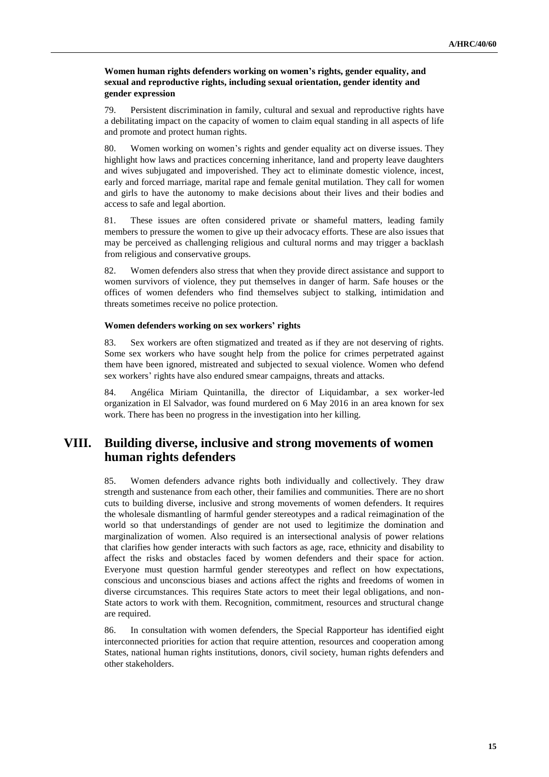# **Women human rights defenders working on women's rights, gender equality, and sexual and reproductive rights, including sexual orientation, gender identity and gender expression**

79. Persistent discrimination in family, cultural and sexual and reproductive rights have a debilitating impact on the capacity of women to claim equal standing in all aspects of life and promote and protect human rights.

80. Women working on women's rights and gender equality act on diverse issues. They highlight how laws and practices concerning inheritance, land and property leave daughters and wives subjugated and impoverished. They act to eliminate domestic violence, incest, early and forced marriage, marital rape and female genital mutilation. They call for women and girls to have the autonomy to make decisions about their lives and their bodies and access to safe and legal abortion.

81. These issues are often considered private or shameful matters, leading family members to pressure the women to give up their advocacy efforts. These are also issues that may be perceived as challenging religious and cultural norms and may trigger a backlash from religious and conservative groups.

82. Women defenders also stress that when they provide direct assistance and support to women survivors of violence, they put themselves in danger of harm. Safe houses or the offices of women defenders who find themselves subject to stalking, intimidation and threats sometimes receive no police protection.

## **Women defenders working on sex workers' rights**

83. Sex workers are often stigmatized and treated as if they are not deserving of rights. Some sex workers who have sought help from the police for crimes perpetrated against them have been ignored, mistreated and subjected to sexual violence. Women who defend sex workers' rights have also endured smear campaigns, threats and attacks.

84. Angélica Miriam Quintanilla, the director of Liquidambar, a sex worker-led organization in El Salvador, was found murdered on 6 May 2016 in an area known for sex work. There has been no progress in the investigation into her killing.

# **VIII. Building diverse, inclusive and strong movements of women human rights defenders**

85. Women defenders advance rights both individually and collectively. They draw strength and sustenance from each other, their families and communities. There are no short cuts to building diverse, inclusive and strong movements of women defenders. It requires the wholesale dismantling of harmful gender stereotypes and a radical reimagination of the world so that understandings of gender are not used to legitimize the domination and marginalization of women. Also required is an intersectional analysis of power relations that clarifies how gender interacts with such factors as age, race, ethnicity and disability to affect the risks and obstacles faced by women defenders and their space for action. Everyone must question harmful gender stereotypes and reflect on how expectations, conscious and unconscious biases and actions affect the rights and freedoms of women in diverse circumstances. This requires State actors to meet their legal obligations, and non-State actors to work with them. Recognition, commitment, resources and structural change are required.

86. In consultation with women defenders, the Special Rapporteur has identified eight interconnected priorities for action that require attention, resources and cooperation among States, national human rights institutions, donors, civil society, human rights defenders and other stakeholders.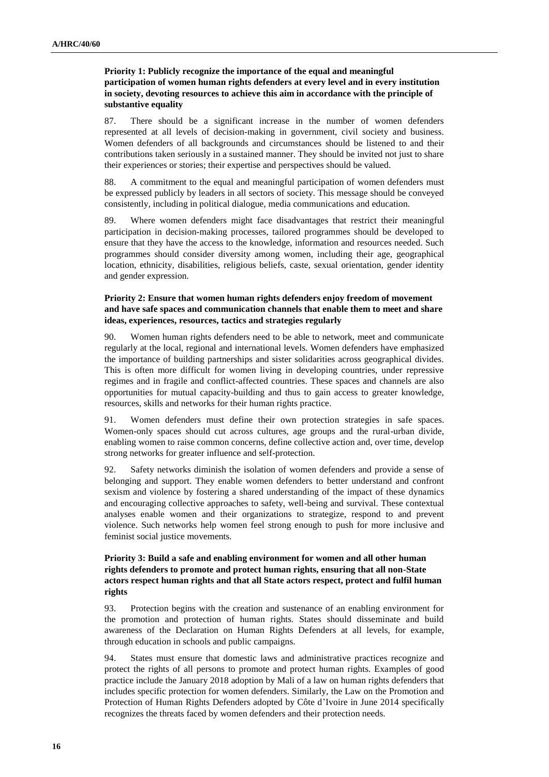# **Priority 1: Publicly recognize the importance of the equal and meaningful participation of women human rights defenders at every level and in every institution in society, devoting resources to achieve this aim in accordance with the principle of substantive equality**

87. There should be a significant increase in the number of women defenders represented at all levels of decision-making in government, civil society and business. Women defenders of all backgrounds and circumstances should be listened to and their contributions taken seriously in a sustained manner. They should be invited not just to share their experiences or stories; their expertise and perspectives should be valued.

88. A commitment to the equal and meaningful participation of women defenders must be expressed publicly by leaders in all sectors of society. This message should be conveyed consistently, including in political dialogue, media communications and education.

89. Where women defenders might face disadvantages that restrict their meaningful participation in decision-making processes, tailored programmes should be developed to ensure that they have the access to the knowledge, information and resources needed. Such programmes should consider diversity among women, including their age, geographical location, ethnicity, disabilities, religious beliefs, caste, sexual orientation, gender identity and gender expression.

# **Priority 2: Ensure that women human rights defenders enjoy freedom of movement and have safe spaces and communication channels that enable them to meet and share ideas, experiences, resources, tactics and strategies regularly**

90. Women human rights defenders need to be able to network, meet and communicate regularly at the local, regional and international levels. Women defenders have emphasized the importance of building partnerships and sister solidarities across geographical divides. This is often more difficult for women living in developing countries, under repressive regimes and in fragile and conflict-affected countries. These spaces and channels are also opportunities for mutual capacity-building and thus to gain access to greater knowledge, resources, skills and networks for their human rights practice.

91. Women defenders must define their own protection strategies in safe spaces. Women-only spaces should cut across cultures, age groups and the rural-urban divide, enabling women to raise common concerns, define collective action and, over time, develop strong networks for greater influence and self-protection.

92. Safety networks diminish the isolation of women defenders and provide a sense of belonging and support. They enable women defenders to better understand and confront sexism and violence by fostering a shared understanding of the impact of these dynamics and encouraging collective approaches to safety, well-being and survival. These contextual analyses enable women and their organizations to strategize, respond to and prevent violence. Such networks help women feel strong enough to push for more inclusive and feminist social justice movements.

# **Priority 3: Build a safe and enabling environment for women and all other human rights defenders to promote and protect human rights, ensuring that all non-State actors respect human rights and that all State actors respect, protect and fulfil human rights**

93. Protection begins with the creation and sustenance of an enabling environment for the promotion and protection of human rights. States should disseminate and build awareness of the Declaration on Human Rights Defenders at all levels, for example, through education in schools and public campaigns.

94. States must ensure that domestic laws and administrative practices recognize and protect the rights of all persons to promote and protect human rights. Examples of good practice include the January 2018 adoption by Mali of a law on human rights defenders that includes specific protection for women defenders. Similarly, the Law on the Promotion and Protection of Human Rights Defenders adopted by Côte d'Ivoire in June 2014 specifically recognizes the threats faced by women defenders and their protection needs.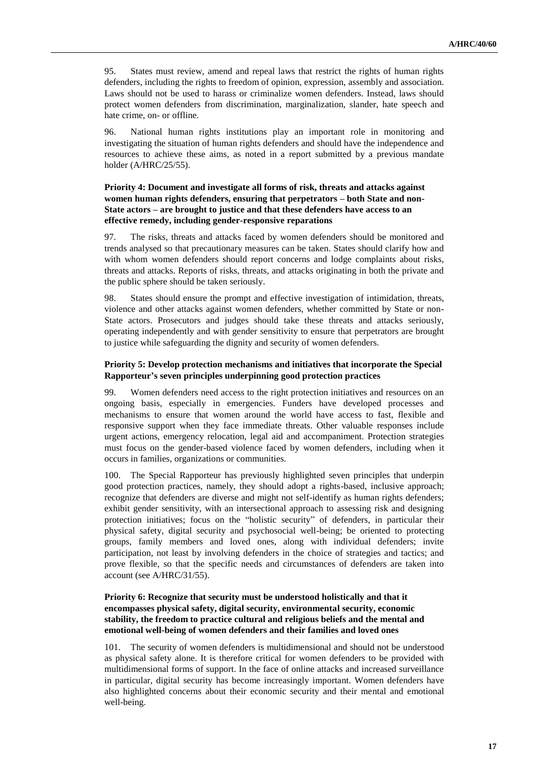95. States must review, amend and repeal laws that restrict the rights of human rights defenders, including the rights to freedom of opinion, expression, assembly and association. Laws should not be used to harass or criminalize women defenders. Instead, laws should protect women defenders from discrimination, marginalization, slander, hate speech and hate crime, on- or offline.

96. National human rights institutions play an important role in monitoring and investigating the situation of human rights defenders and should have the independence and resources to achieve these aims, as noted in a report submitted by a previous mandate holder (A/HRC/25/55).

# **Priority 4: Document and investigate all forms of risk, threats and attacks against women human rights defenders, ensuring that perpetrators – both State and non-State actors – are brought to justice and that these defenders have access to an effective remedy, including gender-responsive reparations**

97. The risks, threats and attacks faced by women defenders should be monitored and trends analysed so that precautionary measures can be taken. States should clarify how and with whom women defenders should report concerns and lodge complaints about risks, threats and attacks. Reports of risks, threats, and attacks originating in both the private and the public sphere should be taken seriously.

98. States should ensure the prompt and effective investigation of intimidation, threats, violence and other attacks against women defenders, whether committed by State or non-State actors. Prosecutors and judges should take these threats and attacks seriously, operating independently and with gender sensitivity to ensure that perpetrators are brought to justice while safeguarding the dignity and security of women defenders.

### **Priority 5: Develop protection mechanisms and initiatives that incorporate the Special Rapporteur's seven principles underpinning good protection practices**

99. Women defenders need access to the right protection initiatives and resources on an ongoing basis, especially in emergencies. Funders have developed processes and mechanisms to ensure that women around the world have access to fast, flexible and responsive support when they face immediate threats. Other valuable responses include urgent actions, emergency relocation, legal aid and accompaniment. Protection strategies must focus on the gender-based violence faced by women defenders, including when it occurs in families, organizations or communities.

100. The Special Rapporteur has previously highlighted seven principles that underpin good protection practices, namely, they should adopt a rights-based, inclusive approach; recognize that defenders are diverse and might not self-identify as human rights defenders; exhibit gender sensitivity, with an intersectional approach to assessing risk and designing protection initiatives; focus on the "holistic security" of defenders, in particular their physical safety, digital security and psychosocial well-being; be oriented to protecting groups, family members and loved ones, along with individual defenders; invite participation, not least by involving defenders in the choice of strategies and tactics; and prove flexible, so that the specific needs and circumstances of defenders are taken into account (see A/HRC/31/55).

### **Priority 6: Recognize that security must be understood holistically and that it encompasses physical safety, digital security, environmental security, economic stability, the freedom to practice cultural and religious beliefs and the mental and emotional well-being of women defenders and their families and loved ones**

101. The security of women defenders is multidimensional and should not be understood as physical safety alone. It is therefore critical for women defenders to be provided with multidimensional forms of support. In the face of online attacks and increased surveillance in particular, digital security has become increasingly important. Women defenders have also highlighted concerns about their economic security and their mental and emotional well-being.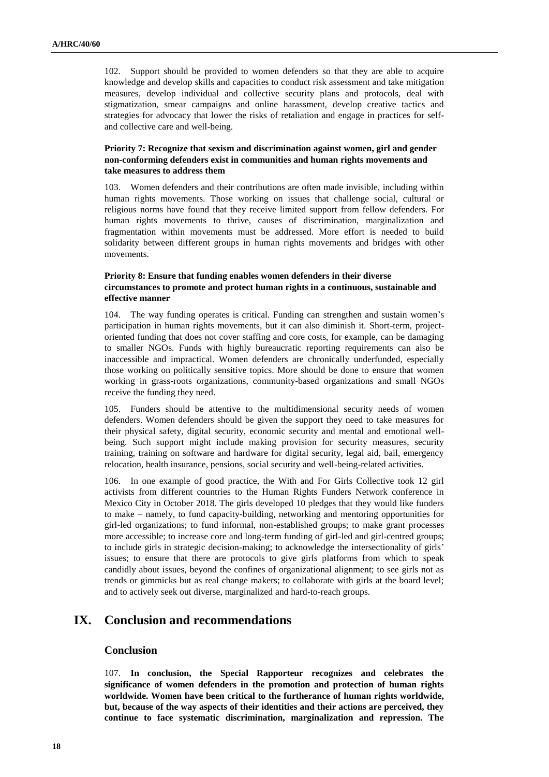102. Support should be provided to women defenders so that they are able to acquire knowledge and develop skills and capacities to conduct risk assessment and take mitigation measures, develop individual and collective security plans and protocols, deal with stigmatization, smear campaigns and online harassment, develop creative tactics and strategies for advocacy that lower the risks of retaliation and engage in practices for selfand collective care and well-being.

# **Priority 7: Recognize that sexism and discrimination against women, girl and gender non-conforming defenders exist in communities and human rights movements and take measures to address them**

103. Women defenders and their contributions are often made invisible, including within human rights movements. Those working on issues that challenge social, cultural or religious norms have found that they receive limited support from fellow defenders. For human rights movements to thrive, causes of discrimination, marginalization and fragmentation within movements must be addressed. More effort is needed to build solidarity between different groups in human rights movements and bridges with other movements.

# **Priority 8: Ensure that funding enables women defenders in their diverse circumstances to promote and protect human rights in a continuous, sustainable and effective manner**

104. The way funding operates is critical. Funding can strengthen and sustain women's participation in human rights movements, but it can also diminish it. Short-term, projectoriented funding that does not cover staffing and core costs, for example, can be damaging to smaller NGOs. Funds with highly bureaucratic reporting requirements can also be inaccessible and impractical. Women defenders are chronically underfunded, especially those working on politically sensitive topics. More should be done to ensure that women working in grass-roots organizations, community-based organizations and small NGOs receive the funding they need.

105. Funders should be attentive to the multidimensional security needs of women defenders. Women defenders should be given the support they need to take measures for their physical safety, digital security, economic security and mental and emotional wellbeing. Such support might include making provision for security measures, security training, training on software and hardware for digital security, legal aid, bail, emergency relocation, health insurance, pensions, social security and well-being-related activities.

106. In one example of good practice, the With and For Girls Collective took 12 girl activists from different countries to the Human Rights Funders Network conference in Mexico City in October 2018. The girls developed 10 pledges that they would like funders to make – namely, to fund capacity-building, networking and mentoring opportunities for girl-led organizations; to fund informal, non-established groups; to make grant processes more accessible; to increase core and long-term funding of girl-led and girl-centred groups; to include girls in strategic decision-making; to acknowledge the intersectionality of girls' issues; to ensure that there are protocols to give girls platforms from which to speak candidly about issues, beyond the confines of organizational alignment; to see girls not as trends or gimmicks but as real change makers; to collaborate with girls at the board level; and to actively seek out diverse, marginalized and hard-to-reach groups.

# **IX. Conclusion and recommendations**

# **Conclusion**

107. **In conclusion, the Special Rapporteur recognizes and celebrates the significance of women defenders in the promotion and protection of human rights worldwide. Women have been critical to the furtherance of human rights worldwide, but, because of the way aspects of their identities and their actions are perceived, they continue to face systematic discrimination, marginalization and repression. The**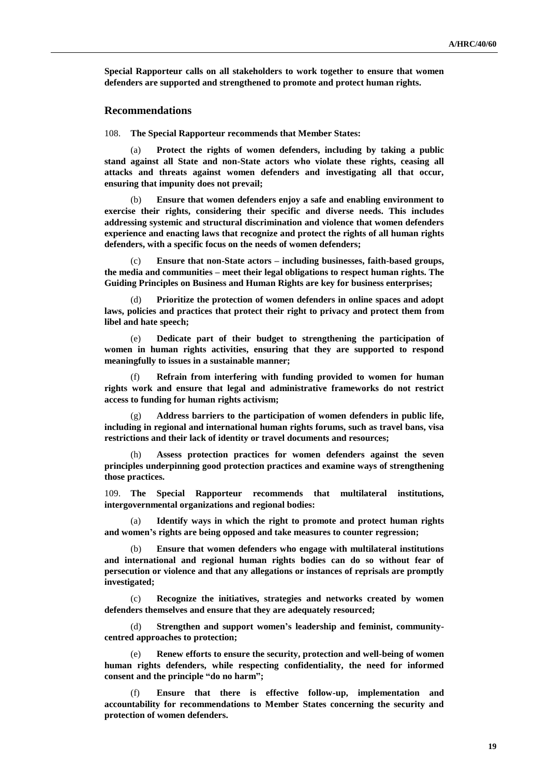**Special Rapporteur calls on all stakeholders to work together to ensure that women defenders are supported and strengthened to promote and protect human rights.**

#### **Recommendations**

108. **The Special Rapporteur recommends that Member States:**

(a) **Protect the rights of women defenders, including by taking a public stand against all State and non-State actors who violate these rights, ceasing all attacks and threats against women defenders and investigating all that occur, ensuring that impunity does not prevail;**

(b) **Ensure that women defenders enjoy a safe and enabling environment to exercise their rights, considering their specific and diverse needs. This includes addressing systemic and structural discrimination and violence that women defenders experience and enacting laws that recognize and protect the rights of all human rights defenders, with a specific focus on the needs of women defenders;**

(c) **Ensure that non-State actors – including businesses, faith-based groups, the media and communities – meet their legal obligations to respect human rights. The Guiding Principles on Business and Human Rights are key for business enterprises;**

Prioritize the protection of women defenders in online spaces and adopt **laws, policies and practices that protect their right to privacy and protect them from libel and hate speech;**

(e) **Dedicate part of their budget to strengthening the participation of women in human rights activities, ensuring that they are supported to respond meaningfully to issues in a sustainable manner;**

(f) **Refrain from interfering with funding provided to women for human rights work and ensure that legal and administrative frameworks do not restrict access to funding for human rights activism;**

(g) **Address barriers to the participation of women defenders in public life, including in regional and international human rights forums, such as travel bans, visa restrictions and their lack of identity or travel documents and resources;**

Assess protection practices for women defenders against the seven **principles underpinning good protection practices and examine ways of strengthening those practices.**

109. **The Special Rapporteur recommends that multilateral institutions, intergovernmental organizations and regional bodies:**

(a) **Identify ways in which the right to promote and protect human rights and women's rights are being opposed and take measures to counter regression;** 

(b) **Ensure that women defenders who engage with multilateral institutions and international and regional human rights bodies can do so without fear of persecution or violence and that any allegations or instances of reprisals are promptly investigated;**

(c) **Recognize the initiatives, strategies and networks created by women defenders themselves and ensure that they are adequately resourced;**

(d) **Strengthen and support women's leadership and feminist, communitycentred approaches to protection;**

(e) **Renew efforts to ensure the security, protection and well-being of women human rights defenders, while respecting confidentiality, the need for informed consent and the principle "do no harm";**

(f) **Ensure that there is effective follow-up, implementation and accountability for recommendations to Member States concerning the security and protection of women defenders.**